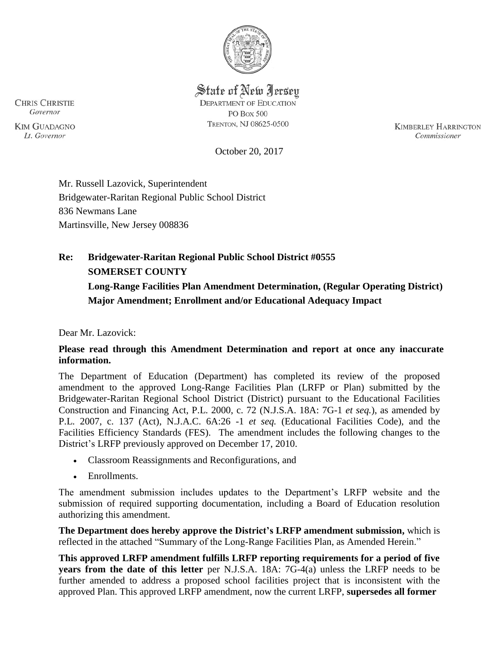

State of New Jersey **DEPARTMENT OF EDUCATION PO Box 500** TRENTON, NJ 08625-0500

**KIMBERLEY HARRINGTON** Commissioner

October 20, 2017

Mr. Russell Lazovick, Superintendent Bridgewater-Raritan Regional Public School District 836 Newmans Lane Martinsville, New Jersey 008836

# **Re: Bridgewater-Raritan Regional Public School District #0555 SOMERSET COUNTY Long-Range Facilities Plan Amendment Determination, (Regular Operating District)**

**Major Amendment; Enrollment and/or Educational Adequacy Impact** 

Dear Mr. Lazovick:

## **Please read through this Amendment Determination and report at once any inaccurate information.**

The Department of Education (Department) has completed its review of the proposed amendment to the approved Long-Range Facilities Plan (LRFP or Plan) submitted by the Bridgewater-Raritan Regional School District (District) pursuant to the Educational Facilities Construction and Financing Act, P.L. 2000, c. 72 (N.J.S.A. 18A: 7G-1 *et seq.*), as amended by P.L. 2007, c. 137 (Act), N.J.A.C. 6A:26 -1 *et seq.* (Educational Facilities Code), and the Facilities Efficiency Standards (FES). The amendment includes the following changes to the District's LRFP previously approved on December 17, 2010.

- Classroom Reassignments and Reconfigurations, and
- Enrollments.

The amendment submission includes updates to the Department's LRFP website and the submission of required supporting documentation, including a Board of Education resolution authorizing this amendment.

**The Department does hereby approve the District's LRFP amendment submission,** which is reflected in the attached "Summary of the Long-Range Facilities Plan, as Amended Herein."

**This approved LRFP amendment fulfills LRFP reporting requirements for a period of five years from the date of this letter** per N.J.S.A. 18A: 7G-4(a) unless the LRFP needs to be further amended to address a proposed school facilities project that is inconsistent with the approved Plan. This approved LRFP amendment, now the current LRFP, **supersedes all former** 

**CHRIS CHRISTIE** Governor

**KIM GUADAGNO** Lt. Governor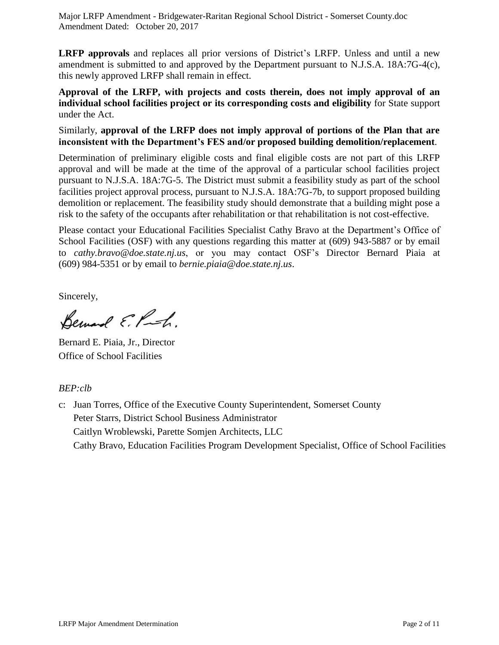**LRFP approvals** and replaces all prior versions of District's LRFP. Unless and until a new amendment is submitted to and approved by the Department pursuant to N.J.S.A. 18A:7G-4(c), this newly approved LRFP shall remain in effect.

**Approval of the LRFP, with projects and costs therein, does not imply approval of an individual school facilities project or its corresponding costs and eligibility** for State support under the Act.

Similarly, **approval of the LRFP does not imply approval of portions of the Plan that are inconsistent with the Department's FES and/or proposed building demolition/replacement**.

Determination of preliminary eligible costs and final eligible costs are not part of this LRFP approval and will be made at the time of the approval of a particular school facilities project pursuant to N.J.S.A. 18A:7G-5. The District must submit a feasibility study as part of the school facilities project approval process, pursuant to N.J.S.A. 18A:7G-7b, to support proposed building demolition or replacement. The feasibility study should demonstrate that a building might pose a risk to the safety of the occupants after rehabilitation or that rehabilitation is not cost-effective.

Please contact your Educational Facilities Specialist Cathy Bravo at the Department's Office of School Facilities (OSF) with any questions regarding this matter at (609) 943-5887 or by email to *cathy.bravo@doe.state.nj.us*, or you may contact OSF's Director Bernard Piaia at (609) 984-5351 or by email to *bernie.piaia*@*doe.state.nj.us*.

Sincerely,

Bernard E. P.h.

Bernard E. Piaia, Jr., Director Office of School Facilities

## *BEP:clb*

c: Juan Torres, Office of the Executive County Superintendent, Somerset County Peter Starrs, District School Business Administrator Caitlyn Wroblewski, Parette Somjen Architects, LLC Cathy Bravo, Education Facilities Program Development Specialist, Office of School Facilities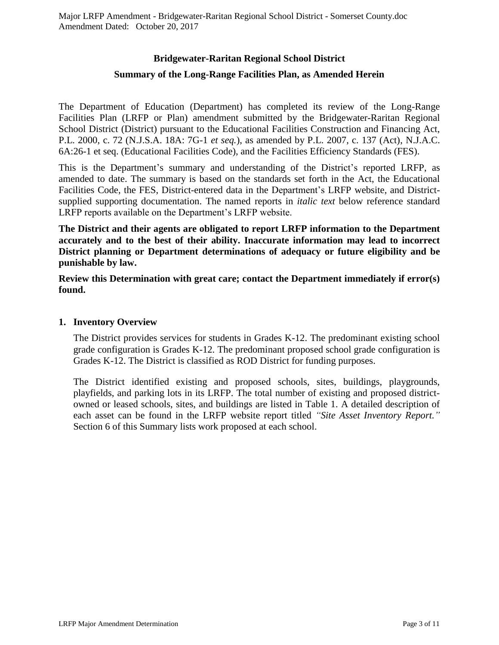## **Bridgewater-Raritan Regional School District Summary of the Long-Range Facilities Plan, as Amended Herein**

The Department of Education (Department) has completed its review of the Long-Range Facilities Plan (LRFP or Plan) amendment submitted by the Bridgewater-Raritan Regional School District (District) pursuant to the Educational Facilities Construction and Financing Act, P.L. 2000, c. 72 (N.J.S.A. 18A: 7G-1 *et seq.*), as amended by P.L. 2007, c. 137 (Act), N.J.A.C. 6A:26-1 et seq. (Educational Facilities Code), and the Facilities Efficiency Standards (FES).

This is the Department's summary and understanding of the District's reported LRFP, as amended to date. The summary is based on the standards set forth in the Act, the Educational Facilities Code, the FES, District-entered data in the Department's LRFP website, and Districtsupplied supporting documentation. The named reports in *italic text* below reference standard LRFP reports available on the Department's LRFP website.

**The District and their agents are obligated to report LRFP information to the Department accurately and to the best of their ability. Inaccurate information may lead to incorrect District planning or Department determinations of adequacy or future eligibility and be punishable by law.** 

**Review this Determination with great care; contact the Department immediately if error(s) found.**

#### **1. Inventory Overview**

The District provides services for students in Grades K-12. The predominant existing school grade configuration is Grades K-12. The predominant proposed school grade configuration is Grades K-12. The District is classified as ROD District for funding purposes.

The District identified existing and proposed schools, sites, buildings, playgrounds, playfields, and parking lots in its LRFP. The total number of existing and proposed districtowned or leased schools, sites, and buildings are listed in Table 1. A detailed description of each asset can be found in the LRFP website report titled *"Site Asset Inventory Report."*  Section 6 of this Summary lists work proposed at each school.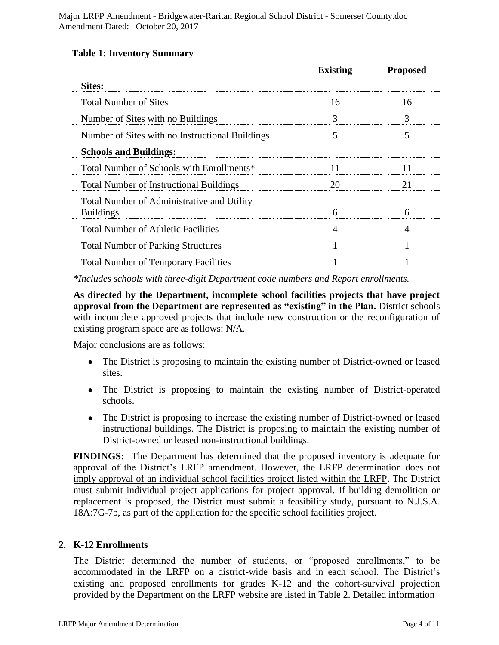|                                                                | <b>Existing</b> | <b>Proposed</b> |
|----------------------------------------------------------------|-----------------|-----------------|
| <b>Sites:</b>                                                  |                 |                 |
| <b>Total Number of Sites</b>                                   | 16              | 16              |
| Number of Sites with no Buildings                              | 3               | 3               |
| Number of Sites with no Instructional Buildings                | 5               | 5               |
| <b>Schools and Buildings:</b>                                  |                 |                 |
| Total Number of Schools with Enrollments*                      | 11              | 11              |
| <b>Total Number of Instructional Buildings</b>                 | 20              | 21              |
| Total Number of Administrative and Utility<br><b>Buildings</b> | 6               | 6               |
| <b>Total Number of Athletic Facilities</b>                     | 4               |                 |
| <b>Total Number of Parking Structures</b>                      |                 |                 |
| <b>Total Number of Temporary Facilities</b>                    |                 |                 |

#### **Table 1: Inventory Summary**

*\*Includes schools with three-digit Department code numbers and Report enrollments.*

**As directed by the Department, incomplete school facilities projects that have project approval from the Department are represented as "existing" in the Plan.** District schools with incomplete approved projects that include new construction or the reconfiguration of existing program space are as follows: N/A.

Major conclusions are as follows:

- The District is proposing to maintain the existing number of District-owned or leased sites.
- The District is proposing to maintain the existing number of District-operated schools.
- The District is proposing to increase the existing number of District-owned or leased instructional buildings. The District is proposing to maintain the existing number of District-owned or leased non-instructional buildings.

**FINDINGS:** The Department has determined that the proposed inventory is adequate for approval of the District's LRFP amendment. However, the LRFP determination does not imply approval of an individual school facilities project listed within the LRFP. The District must submit individual project applications for project approval. If building demolition or replacement is proposed, the District must submit a feasibility study, pursuant to N.J.S.A. 18A:7G-7b, as part of the application for the specific school facilities project.

#### **2. K-12 Enrollments**

The District determined the number of students, or "proposed enrollments," to be accommodated in the LRFP on a district-wide basis and in each school. The District's existing and proposed enrollments for grades K-12 and the cohort-survival projection provided by the Department on the LRFP website are listed in Table 2. Detailed information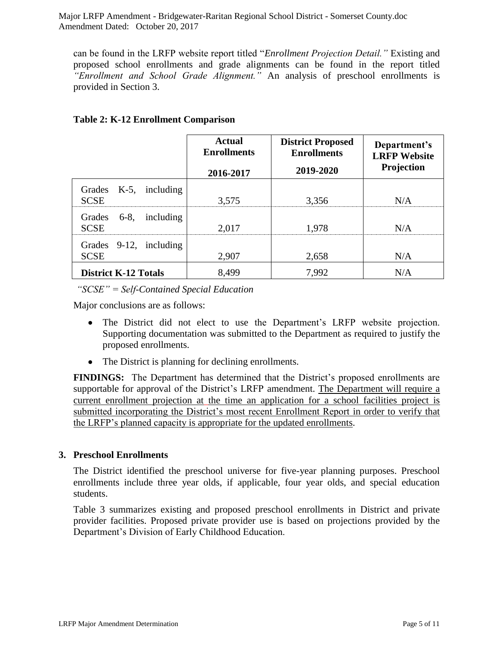can be found in the LRFP website report titled "*Enrollment Projection Detail."* Existing and proposed school enrollments and grade alignments can be found in the report titled *"Enrollment and School Grade Alignment."* An analysis of preschool enrollments is provided in Section 3.

|                                              | Actual<br><b>Enrollments</b><br>2016-2017 | <b>District Proposed</b><br><b>Enrollments</b><br>2019-2020 | Department's<br><b>LRFP Website</b><br><b>Projection</b> |
|----------------------------------------------|-------------------------------------------|-------------------------------------------------------------|----------------------------------------------------------|
| including<br>Grades<br>K-5,<br><b>SCSE</b>   | 3,575                                     | 3,356                                                       | N/A                                                      |
| Grades<br>including<br>$6-8,$<br><b>SCSE</b> | 2,017                                     | 1,978                                                       | N/A                                                      |
| Grades 9-12, including<br><b>SCSE</b>        | 2,907                                     | 2,658                                                       | N/A                                                      |
| <b>District K-12 Totals</b>                  | 8,499                                     | 7,992                                                       | N/A                                                      |

## **Table 2: K-12 Enrollment Comparison**

*"SCSE" = Self-Contained Special Education*

Major conclusions are as follows:

- The District did not elect to use the Department's LRFP website projection. Supporting documentation was submitted to the Department as required to justify the proposed enrollments.
- The District is planning for declining enrollments.

**FINDINGS:** The Department has determined that the District's proposed enrollments are supportable for approval of the District's LRFP amendment. The Department will require a current enrollment projection at the time an application for a school facilities project is submitted incorporating the District's most recent Enrollment Report in order to verify that the LRFP's planned capacity is appropriate for the updated enrollments.

## **3. Preschool Enrollments**

The District identified the preschool universe for five-year planning purposes. Preschool enrollments include three year olds, if applicable, four year olds, and special education students.

Table 3 summarizes existing and proposed preschool enrollments in District and private provider facilities. Proposed private provider use is based on projections provided by the Department's Division of Early Childhood Education.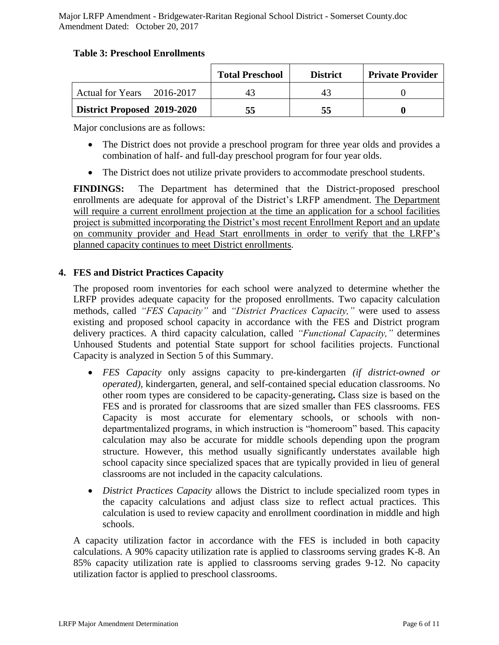#### **Table 3: Preschool Enrollments**

|                             | <b>Total Preschool</b> | <b>District</b> | <b>Private Provider</b> |
|-----------------------------|------------------------|-----------------|-------------------------|
| Actual for Years 2016-2017  |                        |                 |                         |
| District Proposed 2019-2020 | 55                     | 55              |                         |

Major conclusions are as follows:

- The District does not provide a preschool program for three year olds and provides a combination of half- and full-day preschool program for four year olds.
- The District does not utilize private providers to accommodate preschool students.

**FINDINGS:** The Department has determined that the District-proposed preschool enrollments are adequate for approval of the District's LRFP amendment. The Department will require a current enrollment projection at the time an application for a school facilities project is submitted incorporating the District's most recent Enrollment Report and an update on community provider and Head Start enrollments in order to verify that the LRFP's planned capacity continues to meet District enrollments.

## **4. FES and District Practices Capacity**

The proposed room inventories for each school were analyzed to determine whether the LRFP provides adequate capacity for the proposed enrollments. Two capacity calculation methods, called *"FES Capacity"* and *"District Practices Capacity,"* were used to assess existing and proposed school capacity in accordance with the FES and District program delivery practices. A third capacity calculation, called *"Functional Capacity,"* determines Unhoused Students and potential State support for school facilities projects. Functional Capacity is analyzed in Section 5 of this Summary.

- *FES Capacity* only assigns capacity to pre-kindergarten *(if district-owned or operated),* kindergarten, general, and self-contained special education classrooms. No other room types are considered to be capacity-generating**.** Class size is based on the FES and is prorated for classrooms that are sized smaller than FES classrooms. FES Capacity is most accurate for elementary schools, or schools with nondepartmentalized programs, in which instruction is "homeroom" based. This capacity calculation may also be accurate for middle schools depending upon the program structure. However, this method usually significantly understates available high school capacity since specialized spaces that are typically provided in lieu of general classrooms are not included in the capacity calculations.
- *District Practices Capacity* allows the District to include specialized room types in the capacity calculations and adjust class size to reflect actual practices. This calculation is used to review capacity and enrollment coordination in middle and high schools.

A capacity utilization factor in accordance with the FES is included in both capacity calculations. A 90% capacity utilization rate is applied to classrooms serving grades K-8. An 85% capacity utilization rate is applied to classrooms serving grades 9-12. No capacity utilization factor is applied to preschool classrooms.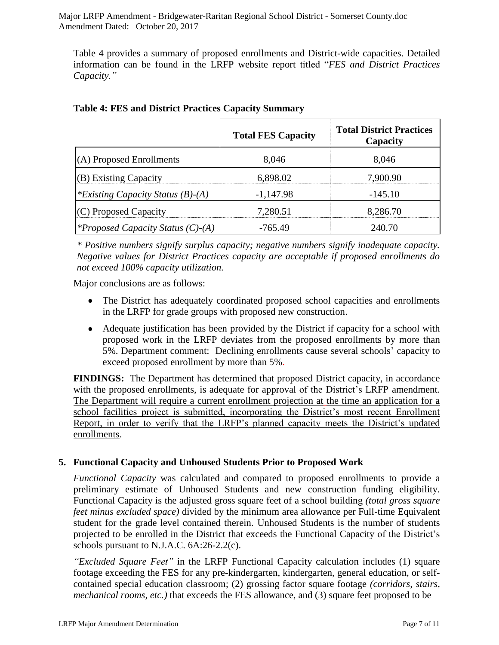Table 4 provides a summary of proposed enrollments and District-wide capacities. Detailed information can be found in the LRFP website report titled "*FES and District Practices Capacity."*

|                                          | <b>Total FES Capacity</b> | <b>Total District Practices</b><br>Capacity |
|------------------------------------------|---------------------------|---------------------------------------------|
| (A) Proposed Enrollments                 | 8,046                     | 8,046                                       |
| (B) Existing Capacity                    | 6,898.02                  | 7,900.90                                    |
| *Existing Capacity Status $(B)$ - $(A)$  | $-1,147.98$               | $-145.10$                                   |
| (C) Proposed Capacity                    | 7,280.51                  | 8,286.70                                    |
| <i>*Proposed Capacity Status (C)-(A)</i> | $-765.49$                 | 240.70                                      |

## **Table 4: FES and District Practices Capacity Summary**

*\* Positive numbers signify surplus capacity; negative numbers signify inadequate capacity. Negative values for District Practices capacity are acceptable if proposed enrollments do not exceed 100% capacity utilization.*

Major conclusions are as follows:

- The District has adequately coordinated proposed school capacities and enrollments in the LRFP for grade groups with proposed new construction.
- Adequate justification has been provided by the District if capacity for a school with proposed work in the LRFP deviates from the proposed enrollments by more than 5%. Department comment: Declining enrollments cause several schools' capacity to exceed proposed enrollment by more than 5%.

**FINDINGS:** The Department has determined that proposed District capacity, in accordance with the proposed enrollments, is adequate for approval of the District's LRFP amendment. The Department will require a current enrollment projection at the time an application for a school facilities project is submitted, incorporating the District's most recent Enrollment Report, in order to verify that the LRFP's planned capacity meets the District's updated enrollments.

## **5. Functional Capacity and Unhoused Students Prior to Proposed Work**

*Functional Capacity* was calculated and compared to proposed enrollments to provide a preliminary estimate of Unhoused Students and new construction funding eligibility. Functional Capacity is the adjusted gross square feet of a school building *(total gross square feet minus excluded space)* divided by the minimum area allowance per Full-time Equivalent student for the grade level contained therein. Unhoused Students is the number of students projected to be enrolled in the District that exceeds the Functional Capacity of the District's schools pursuant to N.J.A.C. 6A:26-2.2(c).

*"Excluded Square Feet"* in the LRFP Functional Capacity calculation includes (1) square footage exceeding the FES for any pre-kindergarten, kindergarten, general education, or selfcontained special education classroom; (2) grossing factor square footage *(corridors, stairs, mechanical rooms, etc.)* that exceeds the FES allowance, and (3) square feet proposed to be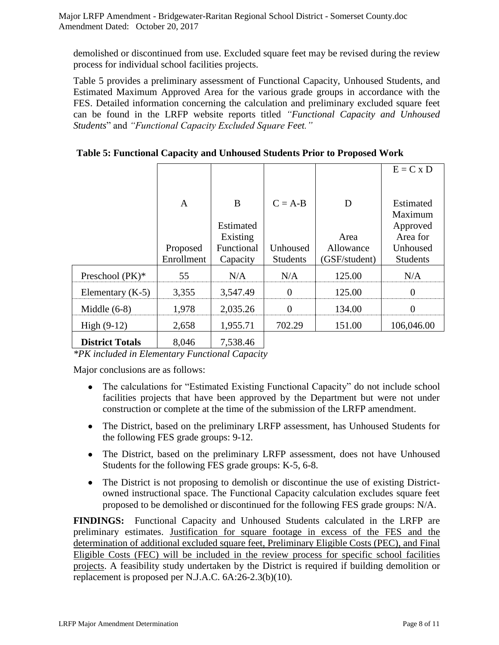demolished or discontinued from use. Excluded square feet may be revised during the review process for individual school facilities projects.

Table 5 provides a preliminary assessment of Functional Capacity, Unhoused Students, and Estimated Maximum Approved Area for the various grade groups in accordance with the FES. Detailed information concerning the calculation and preliminary excluded square feet can be found in the LRFP website reports titled *"Functional Capacity and Unhoused Students*" and *"Functional Capacity Excluded Square Feet."*

|                        |              |            |                 |               | $E = C x D$          |
|------------------------|--------------|------------|-----------------|---------------|----------------------|
|                        |              |            |                 |               |                      |
|                        | $\mathbf{A}$ | B          | $C = A-B$       | D             | Estimated<br>Maximum |
|                        |              | Estimated  |                 |               | Approved             |
|                        |              | Existing   |                 | Area          | Area for             |
|                        | Proposed     | Functional | Unhoused        | Allowance     | Unhoused             |
|                        | Enrollment   | Capacity   | <b>Students</b> | (GSF/student) | <b>Students</b>      |
| Preschool (PK)*        | 55           | N/A        | N/A             | 125.00        | N/A                  |
| Elementary $(K-5)$     | 3,355        | 3,547.49   | $\overline{0}$  | 125.00        | $\theta$             |
| Middle $(6-8)$         | 1,978        | 2,035.26   | $\Omega$        | 134.00        | $\overline{0}$       |
| High $(9-12)$          | 2,658        | 1,955.71   | 702.29          | 151.00        | 106,046.00           |
| <b>District Totals</b> | 8,046        | 7,538.46   |                 |               |                      |

**Table 5: Functional Capacity and Unhoused Students Prior to Proposed Work**

*\*PK included in Elementary Functional Capacity*

Major conclusions are as follows:

- The calculations for "Estimated Existing Functional Capacity" do not include school facilities projects that have been approved by the Department but were not under construction or complete at the time of the submission of the LRFP amendment.
- The District, based on the preliminary LRFP assessment, has Unhoused Students for the following FES grade groups: 9-12.
- The District, based on the preliminary LRFP assessment, does not have Unhoused Students for the following FES grade groups: K-5, 6-8.
- The District is not proposing to demolish or discontinue the use of existing Districtowned instructional space. The Functional Capacity calculation excludes square feet proposed to be demolished or discontinued for the following FES grade groups: N/A.

**FINDINGS:** Functional Capacity and Unhoused Students calculated in the LRFP are preliminary estimates. Justification for square footage in excess of the FES and the determination of additional excluded square feet, Preliminary Eligible Costs (PEC), and Final Eligible Costs (FEC) will be included in the review process for specific school facilities projects. A feasibility study undertaken by the District is required if building demolition or replacement is proposed per N.J.A.C. 6A:26-2.3(b)(10).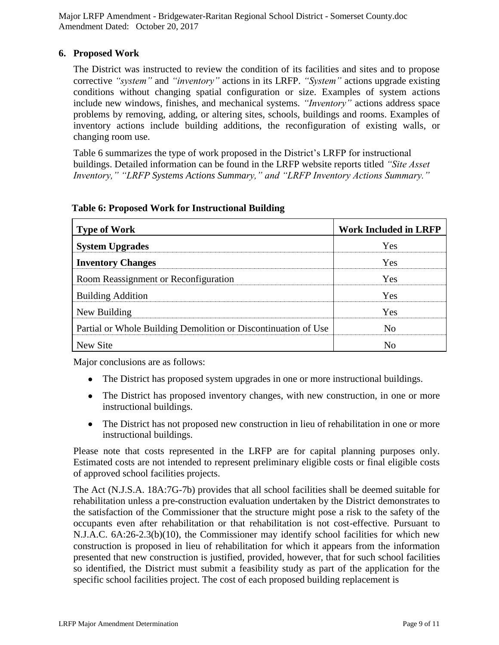## **6. Proposed Work**

The District was instructed to review the condition of its facilities and sites and to propose corrective *"system"* and *"inventory"* actions in its LRFP. *"System"* actions upgrade existing conditions without changing spatial configuration or size. Examples of system actions include new windows, finishes, and mechanical systems. *"Inventory"* actions address space problems by removing, adding, or altering sites, schools, buildings and rooms. Examples of inventory actions include building additions, the reconfiguration of existing walls, or changing room use.

Table 6 summarizes the type of work proposed in the District's LRFP for instructional buildings. Detailed information can be found in the LRFP website reports titled *"Site Asset Inventory," "LRFP Systems Actions Summary," and "LRFP Inventory Actions Summary."* 

| <b>Type of Work</b>                                            | <b>Work Included in LRFP</b> |  |
|----------------------------------------------------------------|------------------------------|--|
| <b>System Upgrades</b>                                         | Yes                          |  |
| <b>Inventory Changes</b>                                       | Yes                          |  |
| Room Reassignment or Reconfiguration                           | Yes                          |  |
| <b>Building Addition</b>                                       | Yes                          |  |
| New Building                                                   | Yes                          |  |
| Partial or Whole Building Demolition or Discontinuation of Use | $\rm No$                     |  |
| New Site                                                       | N٥                           |  |

#### **Table 6: Proposed Work for Instructional Building**

Major conclusions are as follows:

- The District has proposed system upgrades in one or more instructional buildings.
- The District has proposed inventory changes, with new construction, in one or more instructional buildings.
- The District has not proposed new construction in lieu of rehabilitation in one or more instructional buildings.

Please note that costs represented in the LRFP are for capital planning purposes only. Estimated costs are not intended to represent preliminary eligible costs or final eligible costs of approved school facilities projects.

The Act (N.J.S.A. 18A:7G-7b) provides that all school facilities shall be deemed suitable for rehabilitation unless a pre-construction evaluation undertaken by the District demonstrates to the satisfaction of the Commissioner that the structure might pose a risk to the safety of the occupants even after rehabilitation or that rehabilitation is not cost-effective. Pursuant to N.J.A.C. 6A:26-2.3(b)(10), the Commissioner may identify school facilities for which new construction is proposed in lieu of rehabilitation for which it appears from the information presented that new construction is justified, provided, however, that for such school facilities so identified, the District must submit a feasibility study as part of the application for the specific school facilities project. The cost of each proposed building replacement is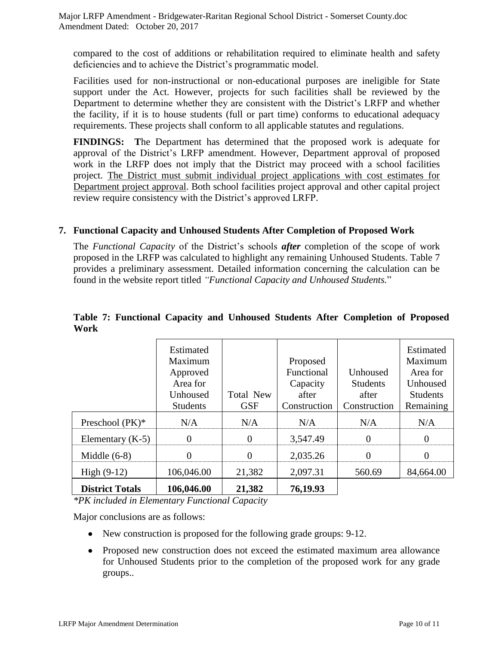compared to the cost of additions or rehabilitation required to eliminate health and safety deficiencies and to achieve the District's programmatic model.

Facilities used for non-instructional or non-educational purposes are ineligible for State support under the Act. However, projects for such facilities shall be reviewed by the Department to determine whether they are consistent with the District's LRFP and whether the facility, if it is to house students (full or part time) conforms to educational adequacy requirements. These projects shall conform to all applicable statutes and regulations.

**FINDINGS: T**he Department has determined that the proposed work is adequate for approval of the District's LRFP amendment. However, Department approval of proposed work in the LRFP does not imply that the District may proceed with a school facilities project. The District must submit individual project applications with cost estimates for Department project approval. Both school facilities project approval and other capital project review require consistency with the District's approved LRFP.

#### **7. Functional Capacity and Unhoused Students After Completion of Proposed Work**

The *Functional Capacity* of the District's schools *after* completion of the scope of work proposed in the LRFP was calculated to highlight any remaining Unhoused Students. Table 7 provides a preliminary assessment. Detailed information concerning the calculation can be found in the website report titled *"Functional Capacity and Unhoused Students.*"

|                        | Estimated       |                  |              |                 | Estimated       |
|------------------------|-----------------|------------------|--------------|-----------------|-----------------|
|                        | Maximum         |                  | Proposed     |                 | Maximum         |
|                        | Approved        |                  | Functional   | Unhoused        | Area for        |
|                        | Area for        |                  | Capacity     | <b>Students</b> | Unhoused        |
|                        | Unhoused        | <b>Total New</b> | after        | after           | <b>Students</b> |
|                        | <b>Students</b> | <b>GSF</b>       | Construction | Construction    | Remaining       |
| Preschool $(PK)^*$     | N/A             | N/A              | N/A          | N/A             | N/A             |
| Elementary $(K-5)$     | $\theta$        | $\theta$         | 3,547.49     | $\theta$        | $\theta$        |
| Middle $(6-8)$         | 0               | $\Omega$         | 2,035.26     | 0               | $\theta$        |
| High $(9-12)$          | 106,046.00      | 21,382           | 2,097.31     | 560.69          | 84,664.00       |
| <b>District Totals</b> | 106,046.00      | 21,382           | 76,19.93     |                 |                 |

#### **Table 7: Functional Capacity and Unhoused Students After Completion of Proposed Work**

*\*PK included in Elementary Functional Capacity*

Major conclusions are as follows:

- New construction is proposed for the following grade groups: 9-12.
- Proposed new construction does not exceed the estimated maximum area allowance for Unhoused Students prior to the completion of the proposed work for any grade groups..